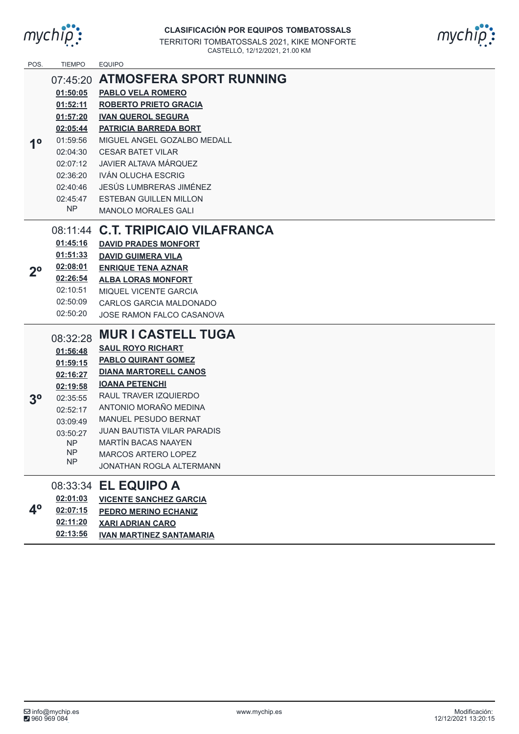

| POS.           | <b>TIEMPO</b>                                                                                                                                 | <b>EQUIPO</b>                                                                                                                                                                                                                                                                                                                                                             |
|----------------|-----------------------------------------------------------------------------------------------------------------------------------------------|---------------------------------------------------------------------------------------------------------------------------------------------------------------------------------------------------------------------------------------------------------------------------------------------------------------------------------------------------------------------------|
| 10             | 07:45:20<br>01:50:05<br>01:52:11<br>01:57:20<br>02:05:44<br>01:59:56<br>02:04:30<br>02:07:12<br>02:36:20<br>02:40:46<br>02:45:47<br><b>NP</b> | <b>ATMOSFERA SPORT RUNNING</b><br><b>PABLO VELA ROMERO</b><br><b>ROBERTO PRIETO GRACIA</b><br><b>IVAN QUEROL SEGURA</b><br><b>PATRICIA BARREDA BORT</b><br>MIGUEL ANGEL GOZALBO MEDALL<br><b>CESAR BATET VILAR</b><br><b>JAVIER ALTAVA MÁRQUEZ</b><br><b>IVÁN OLUCHA ESCRIG</b><br>JESÚS LUMBRERAS JIMÉNEZ<br><b>ESTEBAN GUILLEN MILLON</b><br><b>MANOLO MORALES GALI</b> |
| $2^{\circ}$    | 01:45:16<br>01:51:33<br>02:08:01<br>02:26:54<br>02:10:51<br>02:50:09<br>02:50:20                                                              | 08:11:44 C.T. TRIPICAIO VILAFRANCA<br><b>DAVID PRADES MONFORT</b><br><b>DAVID GUIMERA VILA</b><br><b>ENRIQUE TENA AZNAR</b><br><b>ALBA LORAS MONFORT</b><br>MIQUEL VICENTE GARCIA<br>CARLOS GARCIA MALDONADO<br>JOSE RAMON FALCO CASANOVA                                                                                                                                 |
| 3 <sup>o</sup> | 08:32:28<br>01:56:48<br>01:59:15<br>02:16:27<br>02:19:58<br>02:35:55<br>02:52:17<br>03:09:49<br>03:50:27<br><b>NP</b><br>NP.<br><b>NP</b>     | <b>MUR I CASTELL TUGA</b><br><b>SAUL ROYO RICHART</b><br><b>PABLO QUIRANT GOMEZ</b><br><b>DIANA MARTORELL CANOS</b><br><b>IOANA PETENCHI</b><br>RAUL TRAVER IZQUIERDO<br>ANTONIO MORAÑO MEDINA<br><b>MANUEL PESUDO BERNAT</b><br><b>JUAN BAUTISTA VILAR PARADIS</b><br><b>MARTÍN BACAS NAAYEN</b><br>MARCOS ARTERO LOPEZ<br>JONATHAN ROGLA ALTERMANN                      |
| 4 <sup>o</sup> | 02:01:03<br>02:07:15                                                                                                                          | 08:33:34 EL EQUIPO A<br><b>VICENTE SANCHEZ GARCIA</b><br><b>PEDRO MERINO ECHANIZ</b>                                                                                                                                                                                                                                                                                      |

**02:11:20 XARI ADRIAN CARO**

**02:13:56 IVAN MARTINEZ SANTAMARIA**

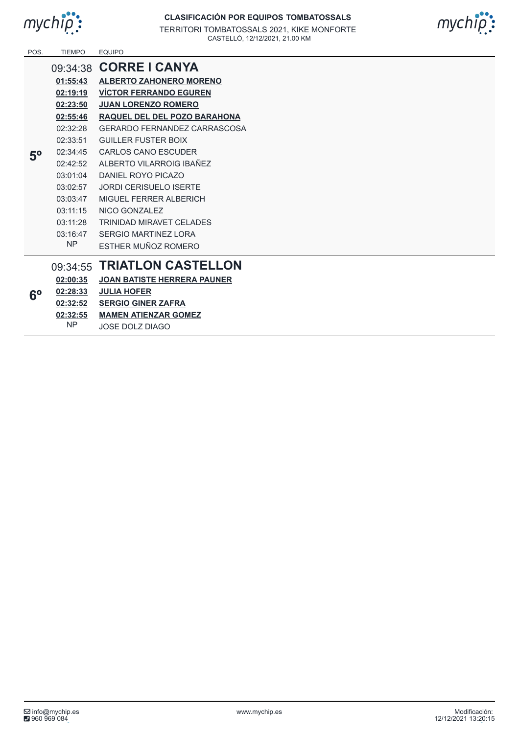



| POS.        | <b>TIEMPO</b> | <b>EQUIPO</b>                       |
|-------------|---------------|-------------------------------------|
|             |               | 09:34:38 CORRE   CANYA              |
|             | 01:55:43      | <b>ALBERTO ZAHONERO MORENO</b>      |
|             | 02:19:19      | <b>VÍCTOR FERRANDO EGUREN</b>       |
| $5^{\rm o}$ | 02:23:50      | <b>JUAN LORENZO ROMERO</b>          |
|             | 02:55:46      | RAQUEL DEL DEL POZO BARAHONA        |
|             | 02:32:28      | <b>GERARDO FERNANDEZ CARRASCOSA</b> |
|             | 02:33:51      | GUILLER FUSTER BOIX                 |
|             | 02:34:45      | <b>CARLOS CANO ESCUDER</b>          |
|             | 02:42:52      | ALBERTO VILARROIG IBAÑEZ            |
|             | 03:01:04      | DANIFI ROYO PICAZO                  |
|             | 03:02:57      | <b>JORDI CERISUELO ISERTE</b>       |
|             | 03:03:47      | MIGUEL FERRER ALBERICH              |
|             | 03:11:15      | NICO GONZALEZ                       |
|             | 03:11:28      | <b>TRINIDAD MIRAVET CELADES</b>     |
|             | 03:16:47      | SERGIO MARTINEZ LORA                |
|             | <b>NP</b>     | ESTHER MUÑOZ ROMERO                 |
|             | 09:34:55      | <b>TRIATLON CASTELLON</b>           |
|             | 02:00:35      | <b>JOAN BATISTE HERRERA PAUNER</b>  |
|             | 02:28:33      | <b>JULIA HOFER</b>                  |
| $6^{\circ}$ | 02:32:52      | <b>SERGIO GINER ZAFRA</b>           |
|             |               |                                     |

## **02:32:55 MAMEN ATIENZAR GOMEZ**

NP JOSE DOLZ DIAGO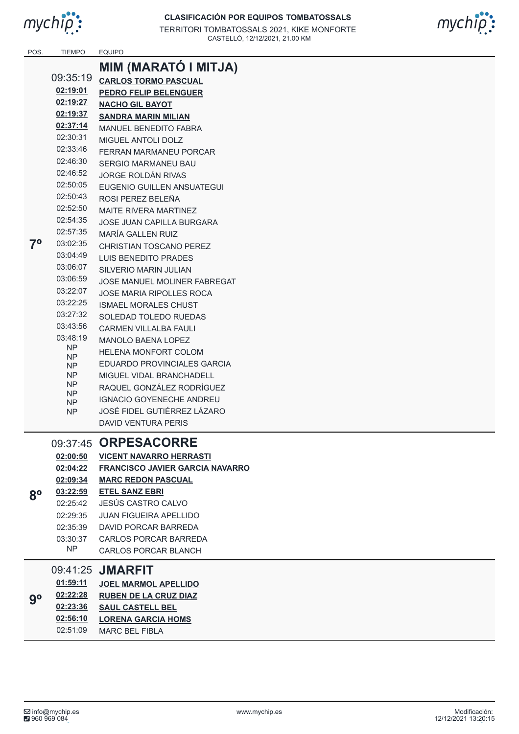



| POS.        | <b>TIEMPO</b> | <b>EQUIPO</b>                                                                                                                                 |
|-------------|---------------|-----------------------------------------------------------------------------------------------------------------------------------------------|
|             |               | MIM (MARATÓ I MITJA)                                                                                                                          |
|             | 09:35:19      | <b>CARLOS TORMO PASCUAL</b>                                                                                                                   |
|             | 02:19:01      | <b>PEDRO FELIP BELENGUER</b>                                                                                                                  |
|             | 02:19:27      | <b>NACHO GIL BAYOT</b>                                                                                                                        |
|             | 02:19:37      | <b>SANDRA MARIN MILIAN</b>                                                                                                                    |
|             | 02:37:14      | <b>MANUEL BENEDITO FABRA</b>                                                                                                                  |
|             | 02:30:31      | MIGUEL ANTOLI DOLZ                                                                                                                            |
|             | 02:33:46      | FERRAN MARMANEU PORCAR                                                                                                                        |
|             | 02:46:30      | SERGIO MARMANEU BAU                                                                                                                           |
|             | 02:46:52      | JORGE ROLDÁN RIVAS                                                                                                                            |
|             | 02:50:05      | EUGENIO GUILLEN ANSUATEGUI                                                                                                                    |
|             | 02:50:43      | ROSI PEREZ BELEÑA                                                                                                                             |
|             | 02:52:50      | <b>MAITE RIVERA MARTINEZ</b>                                                                                                                  |
|             | 02:54:35      | JOSE JUAN CAPILLA BURGARA                                                                                                                     |
|             | 02:57:35      | MARÍA GALLEN RUIZ                                                                                                                             |
| $7^{\circ}$ | 03:02:35      | <b>CHRISTIAN TOSCANO PEREZ</b>                                                                                                                |
|             | 03:04:49      | <b>LUIS BENEDITO PRADES</b>                                                                                                                   |
|             | 03:06:07      | <b>SILVERIO MARIN JULIAN</b>                                                                                                                  |
|             | 03:06:59      | JOSE MANUEL MOLINER FABREGAT                                                                                                                  |
|             | 03:22:07      | <b>JOSE MARIA RIPOLLES ROCA</b>                                                                                                               |
|             | 03:22:25      | <b>ISMAEL MORALES CHUST</b>                                                                                                                   |
|             | 03:27:32      | <b>SOLEDAD TOLEDO RUEDAS</b>                                                                                                                  |
|             | 03:43:56      | <b>CARMEN VILLALBA FAULI</b>                                                                                                                  |
|             | 03:48:19      | <b>MANOLO BAENA LOPEZ</b>                                                                                                                     |
|             | NP.           | <b>HELENA MONFORT COLOM</b>                                                                                                                   |
|             |               | EDUARDO PROVINCIALES GARCIA                                                                                                                   |
|             | NΡ            | MIGUEL VIDAL BRANCHADELL                                                                                                                      |
|             | NP.           | RAQUEL GONZÁLEZ RODRÍGUEZ                                                                                                                     |
|             |               | <b>IGNACIO GOYENECHE ANDREU</b>                                                                                                               |
|             |               | JOSÉ FIDEL GUTIÉRREZ LÁZARO                                                                                                                   |
|             |               | <b>DAVID VENTURA PERIS</b>                                                                                                                    |
|             |               |                                                                                                                                               |
|             |               | <b>ORPESACORRE</b>                                                                                                                            |
|             |               | <b>VICENT NAVARRO HERRASTI</b>                                                                                                                |
|             |               | <b>FRANCISCO JAVIER GARCIA NAVARRO</b>                                                                                                        |
|             |               | <b>MARC REDON PASCUAL</b>                                                                                                                     |
| $8^{\rm o}$ |               | <b>ETEL SANZ EBRI</b>                                                                                                                         |
|             |               | JESÚS CASTRO CALVO                                                                                                                            |
|             |               | JUAN FIGUEIRA APELLIDO                                                                                                                        |
|             |               | DAVID PORCAR BARREDA                                                                                                                          |
|             |               | <b>CARLOS PORCAR BARREDA</b>                                                                                                                  |
|             |               | <b>CARLOS PORCAR BLANCH</b>                                                                                                                   |
|             | 09:41:25      | <b>JMARFIT</b>                                                                                                                                |
|             | 01:59:11      | <b>JOEL MARMOL APELLIDO</b>                                                                                                                   |
|             | 02:22:28      | <b>RUBEN DE LA CRUZ DIAZ</b>                                                                                                                  |
|             | 02:23:36      | <b>SAUL CASTELL BEL</b>                                                                                                                       |
|             | 02:56:10      | <b>LORENA GARCIA HOMS</b>                                                                                                                     |
|             | $9^{\rm o}$   | NΡ<br>NP.<br>NΡ<br>NΡ<br>NΡ<br>09:37:45<br>02:00:50<br>02:04:22<br>02:09:34<br>03:22:59<br>02:25:42<br>02:29:35<br>02:35:39<br>03:30:37<br>NΡ |

02:51:09

MARC BEL FIBLA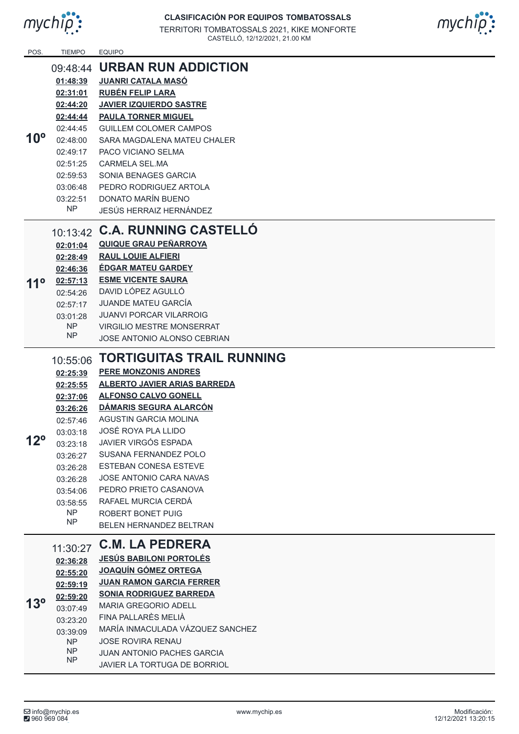



| POS.         | <b>TIEMPO</b>          | <b>EQUIPO</b>                                          |
|--------------|------------------------|--------------------------------------------------------|
|              | 09:48:44               | <b>URBAN RUN ADDICTION</b>                             |
|              | 01:48:39               | <b>JUANRI CATALA MASÓ</b>                              |
|              | 02:31:01               | <b>RUBÉN FELIP LARA</b>                                |
|              | 02:44:20               | <b>JAVIER IZQUIERDO SASTRE</b>                         |
|              | 02:44:44               | <b>PAULA TORNER MIGUEL</b>                             |
|              | 02:44:45               | <b>GUILLEM COLOMER CAMPOS</b>                          |
| $10^{\circ}$ | 02:48:00               | SARA MAGDALENA MATEU CHALER                            |
|              | 02:49:17               | PACO VICIANO SELMA                                     |
|              | 02:51:25               | CARMELA SEL MA                                         |
|              | 02:59:53               | SONIA BENAGES GARCIA                                   |
|              | 03:06:48               | PEDRO RODRIGUEZ ARTOLA                                 |
|              | 03:22:51               | DONATO MARÍN BUENO                                     |
|              | <b>NP</b>              | JESÚS HERRAIZ HERNÁNDEZ                                |
|              |                        |                                                        |
|              |                        | 10:13:42 C.A. RUNNING CASTELLÓ                         |
|              | 02:01:04               | <b>QUIQUE GRAU PEÑARROYA</b>                           |
|              | 02:28:49               | <b>RAUL LOUIE ALFIERI</b>                              |
| $11^{\circ}$ | 02:46:36               | <b>ÉDGAR MATEU GARDEY</b>                              |
|              | 02:57:13               | <b>ESME VICENTE SAURA</b>                              |
|              | 02:54:26               | DAVID LÓPEZ AGULLÓ                                     |
|              | 02:57:17               | <b>JUANDE MATEU GARCÍA</b>                             |
|              | 03:01:28               | <b>JUANVI PORCAR VILARROIG</b>                         |
|              | <b>NP</b><br><b>NP</b> | <b>VIRGILIO MESTRE MONSERRAT</b>                       |
|              |                        | <b>JOSE ANTONIO ALONSO CEBRIAN</b>                     |
|              | 10:55:06               | <b>TORTIGUITAS TRAIL RUNNING</b>                       |
|              | 02:25:39               | <b>PERE MONZONIS ANDRES</b>                            |
|              | 02:25:55               | <b>ALBERTO JAVIER ARIAS BARREDA</b>                    |
|              | 02:37:06               | <b>ALFONSO CALVO GONELL</b>                            |
|              | 03:26:26               | DÁMARIS SEGURA ALARCÓN                                 |
|              | 02:57:46               | AGUSTIN GARCIA MOLINA                                  |
|              | 03:03:18               | JOSÉ ROYA PLA LLIDO                                    |
| $12^{\circ}$ | 03:23:18               | <b>JAVIER VIRGÓS ESPADA</b>                            |
|              | 03:26:27               | SUSANA FERNANDEZ POLO                                  |
|              | 03:26:28               | <b>ESTEBAN CONESA ESTEVE</b>                           |
|              | 03:26:28               | <b>JOSE ANTONIO CARA NAVAS</b>                         |
|              | 03:54:06               | PEDRO PRIETO CASANOVA                                  |
|              | 03:58:55               | RAFAEL MURCIA CERDÁ                                    |
|              | <b>NP</b>              | ROBERT BONET PUIG                                      |
|              | <b>NP</b>              | <b>BELEN HERNANDEZ BELTRAN</b>                         |
|              |                        | <b>C.M. LA PEDRERA</b>                                 |
|              | 11:30:27               | <b>JESÚS BABILONI PORTOLÉS</b>                         |
|              | 02:36:28               | <b>JOAQUÍN GÓMEZ ORTEGA</b>                            |
|              | 02:55:20               | <b>JUAN RAMON GARCIA FERRER</b>                        |
|              | 02:59:19               |                                                        |
| $13^{\circ}$ | 02:59:20               | <b>SONIA RODRIGUEZ BARREDA</b>                         |
|              | 03:07:49               | MARIA GREGORIO ADELL<br>FINA PALLARÈS MELIÀ            |
|              | 03:23:20               | MARÍA INMACULADA VÁZQUEZ SANCHEZ                       |
|              | 03:39:09               |                                                        |
|              |                        |                                                        |
|              | <b>NP</b><br><b>NP</b> | <b>JOSE ROVIRA RENAU</b><br>JUAN ANTONIO PACHES GARCIA |